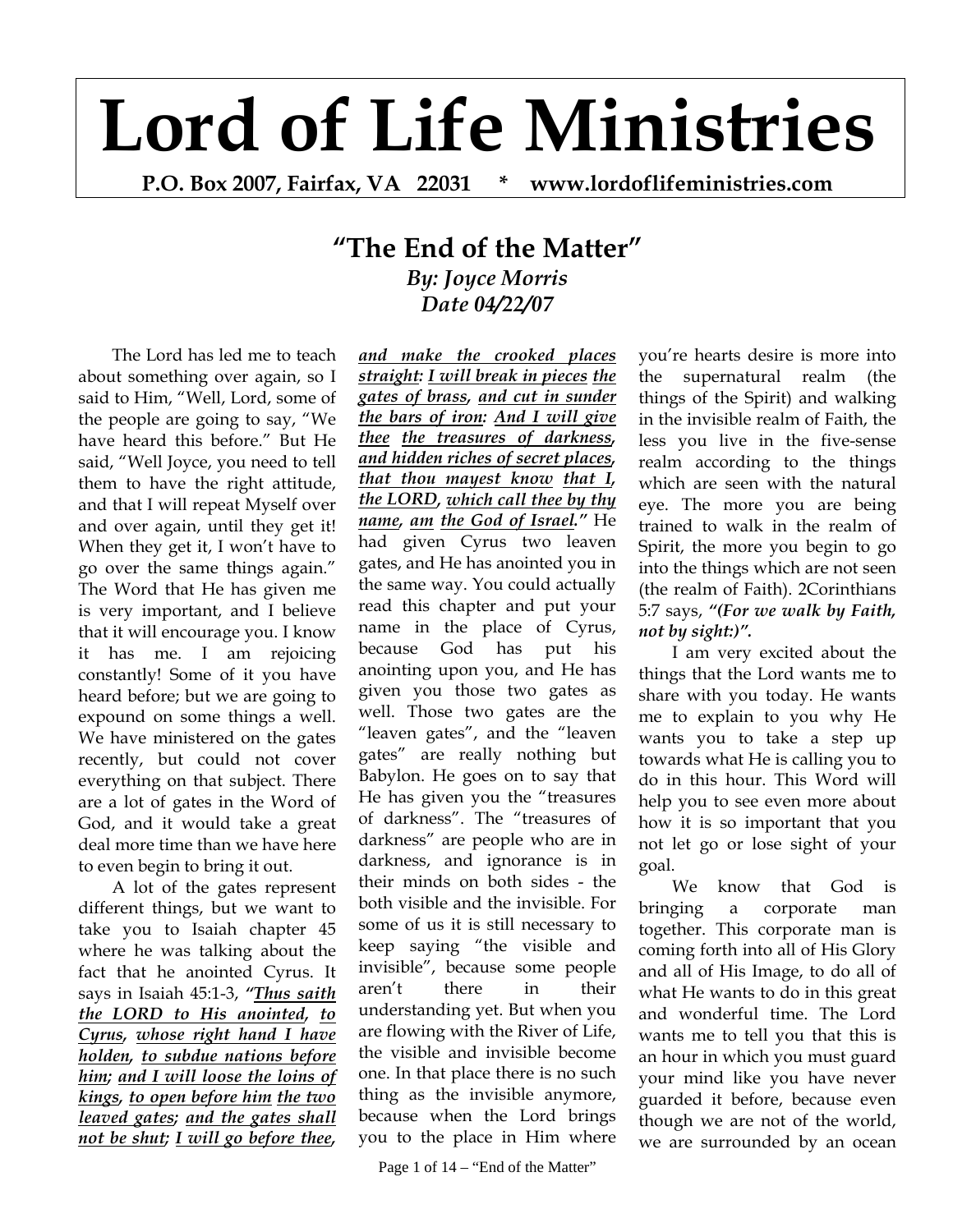## **Lord of Life Ministries**

**P.O. Box 2007, Fairfax, VA 22031 \* www.lordoflifeministries.com** 

## **"The End of the Matter"** *By: Joyce Morris Date 04/22/07*

The Lord has led me to teach about something over again, so I said to Him, "Well, Lord, some of the people are going to say, "We have heard this before." But He said, "Well Joyce, you need to tell them to have the right attitude, and that I will repeat Myself over and over again, until they get it! When they get it, I won't have to go over the same things again." The Word that He has given me is very important, and I believe that it will encourage you. I know it has me. I am rejoicing constantly! Some of it you have heard before; but we are going to expound on some things a well. We have ministered on the gates recently, but could not cover everything on that subject. There are a lot of gates in the Word of God, and it would take a great deal more time than we have here to even begin to bring it out.

A lot of the gates represent different things, but we want to take you to Isaiah chapter 45 where he was talking about the fact that he anointed Cyrus. It says in Isaiah 45:1-3, *"Thus saith the LORD to His anointed, to Cyrus, whose right hand I have holden, to subdue nations before him; and I will loose the loins of kings, to open before him the two leaved gates; and the gates shall not be shut; I will go before thee,* 

*and make the crooked places straight: I will break in pieces the gates of brass, and cut in sunder the bars of iron: And I will give thee the treasures of darkness, and hidden riches of secret places, that thou mayest know that I, the LORD, which call thee by thy name, am the God of Israel."* He had given Cyrus two leaven gates, and He has anointed you in the same way. You could actually read this chapter and put your name in the place of Cyrus, because God has put his anointing upon you, and He has given you those two gates as well. Those two gates are the "leaven gates", and the "leaven gates" are really nothing but Babylon. He goes on to say that He has given you the "treasures of darkness". The "treasures of darkness" are people who are in darkness, and ignorance is in their minds on both sides - the both visible and the invisible. For some of us it is still necessary to keep saying "the visible and invisible", because some people aren't there in their understanding yet. But when you are flowing with the River of Life, the visible and invisible become one. In that place there is no such thing as the invisible anymore, because when the Lord brings you to the place in Him where

Page 1 of  $14 -$ "End of the Matter"

you're hearts desire is more into the supernatural realm (the things of the Spirit) and walking in the invisible realm of Faith, the less you live in the five-sense realm according to the things which are seen with the natural eye. The more you are being trained to walk in the realm of Spirit, the more you begin to go into the things which are not seen (the realm of Faith). 2Corinthians 5:7 says, *"(For we walk by Faith, not by sight:)".*

I am very excited about the things that the Lord wants me to share with you today. He wants me to explain to you why He wants you to take a step up towards what He is calling you to do in this hour. This Word will help you to see even more about how it is so important that you not let go or lose sight of your goal.

We know that God is bringing a corporate man together. This corporate man is coming forth into all of His Glory and all of His Image, to do all of what He wants to do in this great and wonderful time. The Lord wants me to tell you that this is an hour in which you must guard your mind like you have never guarded it before, because even though we are not of the world, we are surrounded by an ocean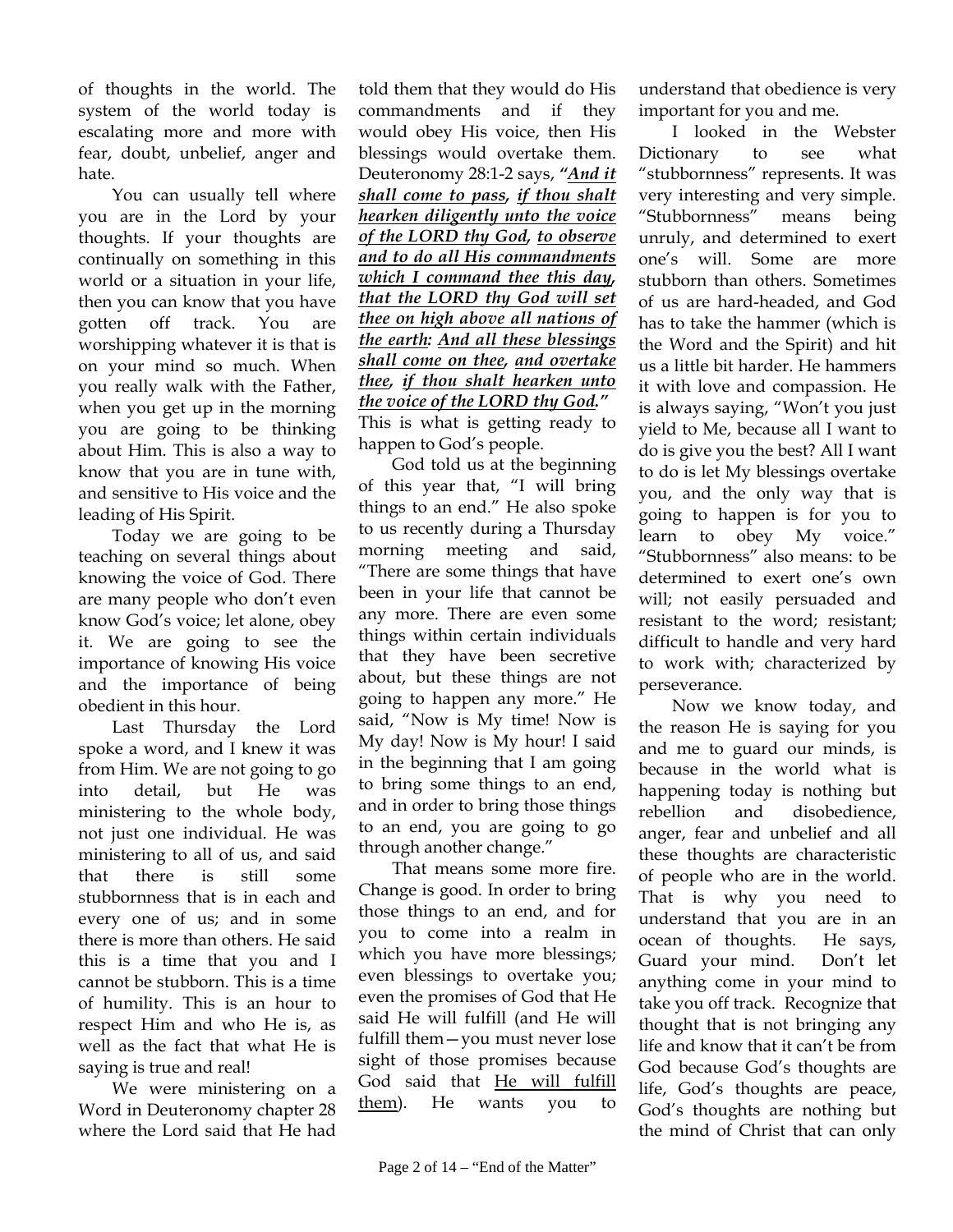of thoughts in the world. The system of the world today is escalating more and more with fear, doubt, unbelief, anger and hate.

You can usually tell where you are in the Lord by your thoughts. If your thoughts are continually on something in this world or a situation in your life, then you can know that you have gotten off track. You are worshipping whatever it is that is on your mind so much. When you really walk with the Father, when you get up in the morning you are going to be thinking about Him. This is also a way to know that you are in tune with, and sensitive to His voice and the leading of His Spirit.

Today we are going to be teaching on several things about knowing the voice of God. There are many people who don't even know God's voice; let alone, obey it. We are going to see the importance of knowing His voice and the importance of being obedient in this hour.

Last Thursday the Lord spoke a word, and I knew it was from Him. We are not going to go into detail, but He was ministering to the whole body, not just one individual. He was ministering to all of us, and said that there is still some stubbornness that is in each and every one of us; and in some there is more than others. He said this is a time that you and I cannot be stubborn. This is a time of humility. This is an hour to respect Him and who He is, as well as the fact that what He is saying is true and real!

We were ministering on a Word in Deuteronomy chapter 28 where the Lord said that He had

told them that they would do His commandments and if they would obey His voice, then His blessings would overtake them. Deuteronomy 28:1-2 says, *"And it shall come to pass, if thou shalt hearken diligently unto the voice of the LORD thy God, to observe and to do all His commandments which I command thee this day, that the LORD thy God will set thee on high above all nations of the earth: And all these blessings shall come on thee, and overtake thee, if thou shalt hearken unto the voice of the LORD thy God."*  This is what is getting ready to happen to God's people.

God told us at the beginning of this year that, "I will bring things to an end." He also spoke to us recently during a Thursday morning meeting and said, "There are some things that have been in your life that cannot be any more. There are even some things within certain individuals that they have been secretive about, but these things are not going to happen any more." He said, "Now is My time! Now is My day! Now is My hour! I said in the beginning that I am going to bring some things to an end, and in order to bring those things to an end, you are going to go through another change."

That means some more fire. Change is good. In order to bring those things to an end, and for you to come into a realm in which you have more blessings; even blessings to overtake you; even the promises of God that He said He will fulfill (and He will fulfill them—you must never lose sight of those promises because God said that He will fulfill them). He wants you to

understand that obedience is very important for you and me.

I looked in the Webster Dictionary to see what "stubbornness" represents. It was very interesting and very simple. "Stubbornness" means being unruly, and determined to exert one's will. Some are more stubborn than others. Sometimes of us are hard-headed, and God has to take the hammer (which is the Word and the Spirit) and hit us a little bit harder. He hammers it with love and compassion. He is always saying, "Won't you just yield to Me, because all I want to do is give you the best? All I want to do is let My blessings overtake you, and the only way that is going to happen is for you to learn to obey My voice." "Stubbornness" also means: to be determined to exert one's own will; not easily persuaded and resistant to the word; resistant; difficult to handle and very hard to work with; characterized by perseverance.

Now we know today, and the reason He is saying for you and me to guard our minds, is because in the world what is happening today is nothing but rebellion and disobedience, anger, fear and unbelief and all these thoughts are characteristic of people who are in the world. That is why you need to understand that you are in an ocean of thoughts. He says, Guard your mind. Don't let anything come in your mind to take you off track. Recognize that thought that is not bringing any life and know that it can't be from God because God's thoughts are life, God's thoughts are peace, God's thoughts are nothing but the mind of Christ that can only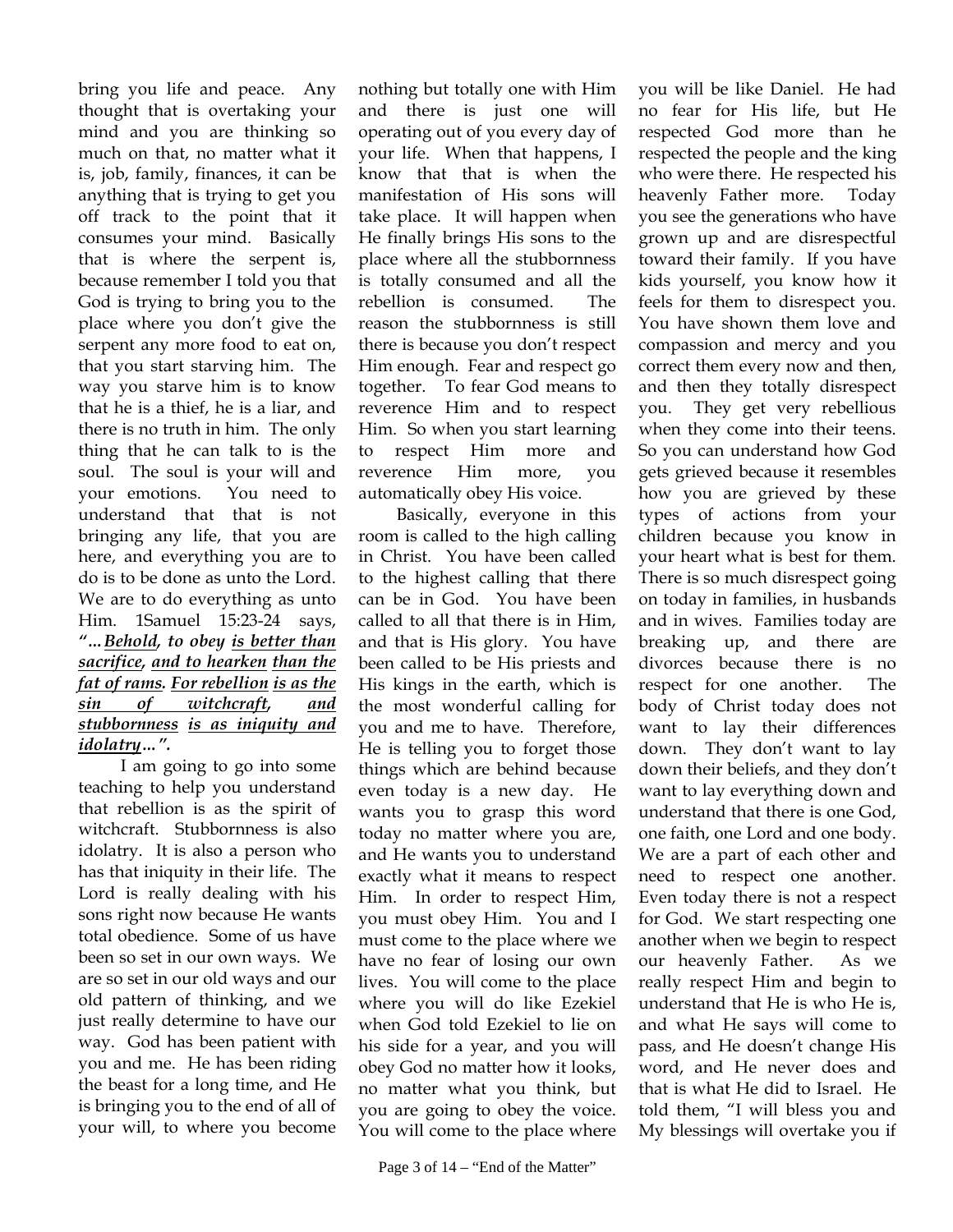bring you life and peace. Any thought that is overtaking your mind and you are thinking so much on that, no matter what it is, job, family, finances, it can be anything that is trying to get you off track to the point that it consumes your mind. Basically that is where the serpent is, because remember I told you that God is trying to bring you to the place where you don't give the serpent any more food to eat on, that you start starving him. The way you starve him is to know that he is a thief, he is a liar, and there is no truth in him. The only thing that he can talk to is the soul. The soul is your will and your emotions. You need to understand that that is not bringing any life, that you are here, and everything you are to do is to be done as unto the Lord. We are to do everything as unto Him. 1Samuel 15:23-24 says, *"…Behold, to obey is better than sacrifice, and to hearken than the fat of rams. For rebellion is as the sin of witchcraft, and stubbornness is as iniquity and idolatry…".*

 I am going to go into some teaching to help you understand that rebellion is as the spirit of witchcraft. Stubbornness is also idolatry. It is also a person who has that iniquity in their life. The Lord is really dealing with his sons right now because He wants total obedience. Some of us have been so set in our own ways. We are so set in our old ways and our old pattern of thinking, and we just really determine to have our way. God has been patient with you and me. He has been riding the beast for a long time, and He is bringing you to the end of all of your will, to where you become nothing but totally one with Him and there is just one will operating out of you every day of your life. When that happens, I know that that is when the manifestation of His sons will take place. It will happen when He finally brings His sons to the place where all the stubbornness is totally consumed and all the rebellion is consumed. The reason the stubbornness is still there is because you don't respect Him enough. Fear and respect go together. To fear God means to reverence Him and to respect Him. So when you start learning to respect Him more and reverence Him more, you automatically obey His voice.

 Basically, everyone in this room is called to the high calling in Christ. You have been called to the highest calling that there can be in God. You have been called to all that there is in Him, and that is His glory. You have been called to be His priests and His kings in the earth, which is the most wonderful calling for you and me to have. Therefore, He is telling you to forget those things which are behind because even today is a new day. He wants you to grasp this word today no matter where you are, and He wants you to understand exactly what it means to respect Him. In order to respect Him, you must obey Him. You and I must come to the place where we have no fear of losing our own lives. You will come to the place where you will do like Ezekiel when God told Ezekiel to lie on his side for a year, and you will obey God no matter how it looks, no matter what you think, but you are going to obey the voice. You will come to the place where you will be like Daniel. He had no fear for His life, but He respected God more than he respected the people and the king who were there. He respected his heavenly Father more. Today you see the generations who have grown up and are disrespectful toward their family. If you have kids yourself, you know how it feels for them to disrespect you. You have shown them love and compassion and mercy and you correct them every now and then, and then they totally disrespect you. They get very rebellious when they come into their teens. So you can understand how God gets grieved because it resembles how you are grieved by these types of actions from your children because you know in your heart what is best for them. There is so much disrespect going on today in families, in husbands and in wives. Families today are breaking up, and there are divorces because there is no respect for one another. The body of Christ today does not want to lay their differences down. They don't want to lay down their beliefs, and they don't want to lay everything down and understand that there is one God, one faith, one Lord and one body. We are a part of each other and need to respect one another. Even today there is not a respect for God. We start respecting one another when we begin to respect our heavenly Father. As we really respect Him and begin to understand that He is who He is, and what He says will come to pass, and He doesn't change His word, and He never does and that is what He did to Israel. He told them, "I will bless you and My blessings will overtake you if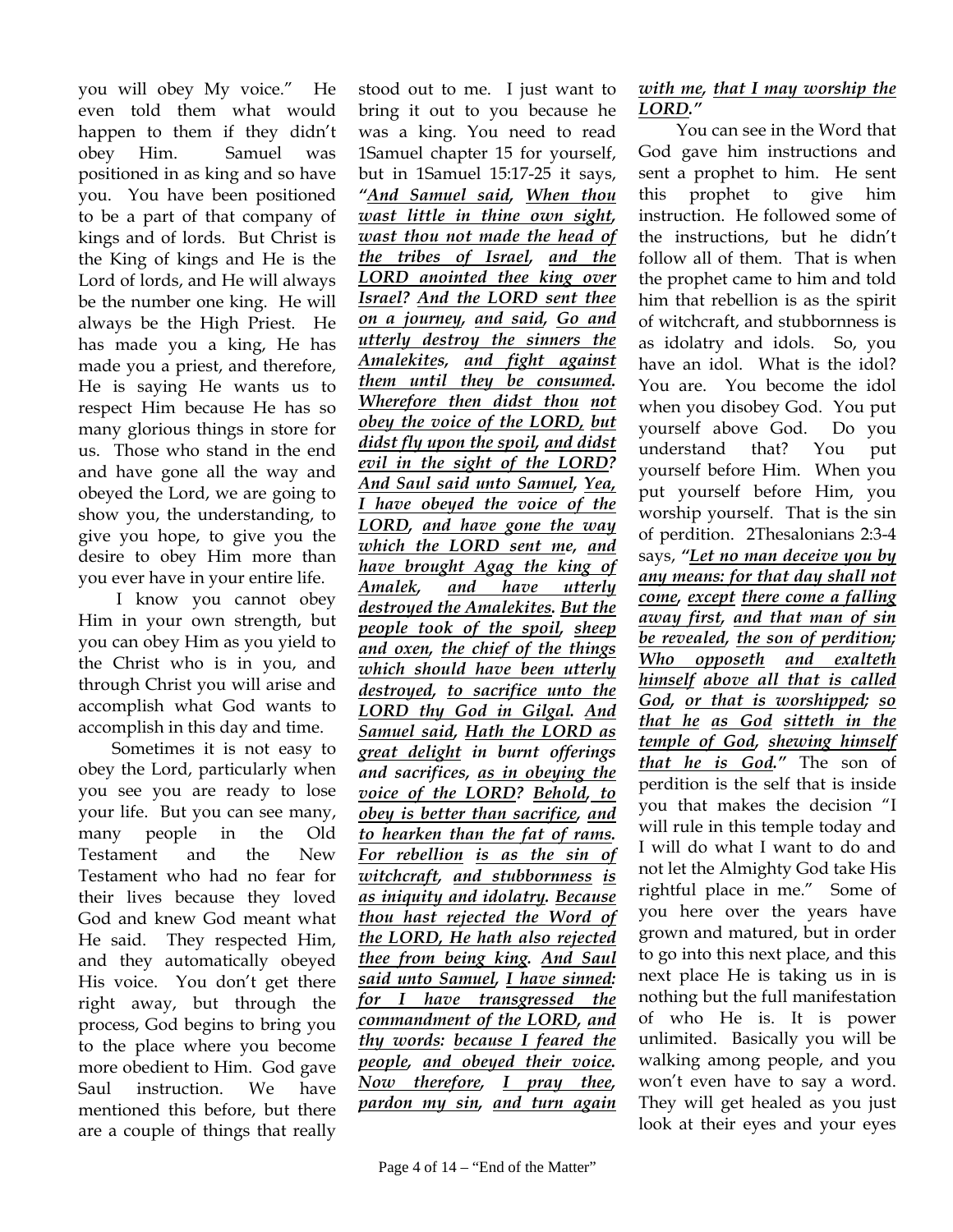you will obey My voice." He even told them what would happen to them if they didn't obey Him. Samuel was positioned in as king and so have you. You have been positioned to be a part of that company of kings and of lords. But Christ is the King of kings and He is the Lord of lords, and He will always be the number one king. He will always be the High Priest. He has made you a king, He has made you a priest, and therefore, He is saying He wants us to respect Him because He has so many glorious things in store for us. Those who stand in the end and have gone all the way and obeyed the Lord, we are going to show you, the understanding, to give you hope, to give you the desire to obey Him more than you ever have in your entire life.

 I know you cannot obey Him in your own strength, but you can obey Him as you yield to the Christ who is in you, and through Christ you will arise and accomplish what God wants to accomplish in this day and time.

Sometimes it is not easy to obey the Lord, particularly when you see you are ready to lose your life. But you can see many, many people in the Old Testament and the New Testament who had no fear for their lives because they loved God and knew God meant what He said. They respected Him, and they automatically obeyed His voice. You don't get there right away, but through the process, God begins to bring you to the place where you become more obedient to Him. God gave Saul instruction. We have mentioned this before, but there are a couple of things that really

stood out to me. I just want to bring it out to you because he was a king. You need to read 1Samuel chapter 15 for yourself, but in 1Samuel 15:17-25 it says, *"And Samuel said, When thou wast little in thine own sight, wast thou not made the head of the tribes of Israel, and the LORD anointed thee king over Israel? And the LORD sent thee on a journey, and said, Go and utterly destroy the sinners the Amalekites, and fight against them until they be consumed. Wherefore then didst thou not obey the voice of the LORD, but didst fly upon the spoil, and didst evil in the sight of the LORD? And Saul said unto Samuel, Yea, I have obeyed the voice of the LORD, and have gone the way which the LORD sent me, and have brought Agag the king of Amalek, and have utterly destroyed the Amalekites. But the people took of the spoil, sheep and oxen, the chief of the things which should have been utterly destroyed, to sacrifice unto the LORD thy God in Gilgal. And Samuel said, Hath the LORD as great delight in burnt offerings and sacrifices, as in obeying the voice of the LORD? Behold, to obey is better than sacrifice, and to hearken than the fat of rams. For rebellion is as the sin of witchcraft, and stubbornness is as iniquity and idolatry. Because thou hast rejected the Word of the LORD, He hath also rejected thee from being king. And Saul said unto Samuel, I have sinned: for I have transgressed the commandment of the LORD, and thy words: because I feared the people, and obeyed their voice. Now therefore, I pray thee, pardon my sin, and turn again* 

 You can see in the Word that God gave him instructions and sent a prophet to him. He sent this prophet to give him instruction. He followed some of the instructions, but he didn't follow all of them. That is when the prophet came to him and told him that rebellion is as the spirit of witchcraft, and stubbornness is as idolatry and idols. So, you have an idol. What is the idol? You are. You become the idol when you disobey God. You put yourself above God. Do you understand that? You put yourself before Him. When you put yourself before Him, you worship yourself. That is the sin of perdition. 2Thesalonians 2:3-4 says, *"Let no man deceive you by any means: for that day shall not come, except there come a falling away first, and that man of sin be revealed, the son of perdition; Who opposeth and exalteth himself above all that is called God, or that is worshipped; so that he as God sitteth in the temple of God, shewing himself that he is God."* The son of perdition is the self that is inside you that makes the decision "I will rule in this temple today and I will do what I want to do and not let the Almighty God take His rightful place in me." Some of you here over the years have grown and matured, but in order to go into this next place, and this next place He is taking us in is nothing but the full manifestation of who He is. It is power unlimited. Basically you will be walking among people, and you won't even have to say a word. They will get healed as you just look at their eyes and your eyes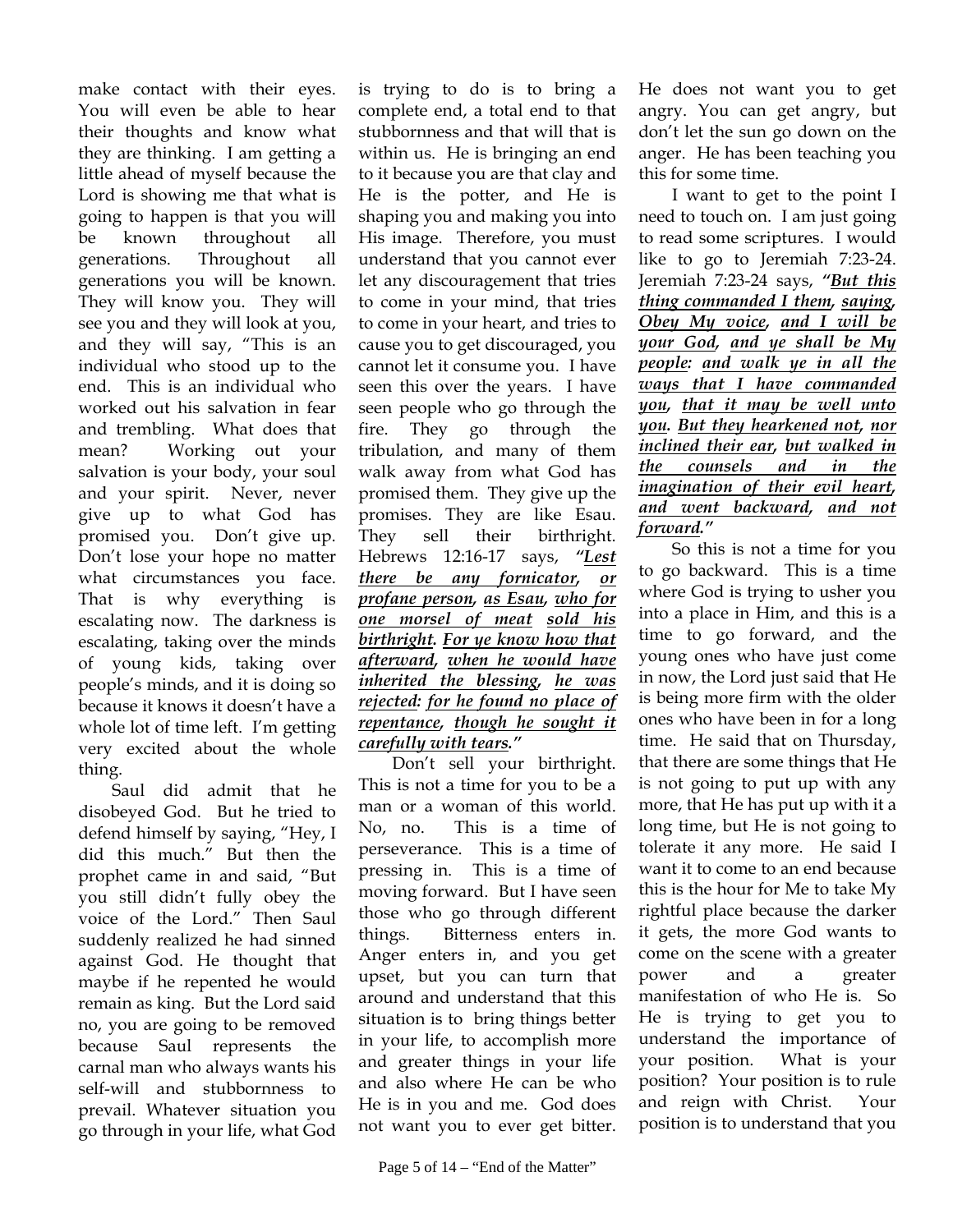make contact with their eyes. You will even be able to hear their thoughts and know what they are thinking. I am getting a little ahead of myself because the Lord is showing me that what is going to happen is that you will be known throughout all generations. Throughout all generations you will be known. They will know you. They will see you and they will look at you, and they will say, "This is an individual who stood up to the end. This is an individual who worked out his salvation in fear and trembling. What does that mean? Working out your salvation is your body, your soul and your spirit. Never, never give up to what God has promised you. Don't give up. Don't lose your hope no matter what circumstances you face. That is why everything is escalating now. The darkness is escalating, taking over the minds of young kids, taking over people's minds, and it is doing so because it knows it doesn't have a whole lot of time left. I'm getting very excited about the whole thing.

Saul did admit that he disobeyed God. But he tried to defend himself by saying, "Hey, I did this much." But then the prophet came in and said, "But you still didn't fully obey the voice of the Lord." Then Saul suddenly realized he had sinned against God. He thought that maybe if he repented he would remain as king. But the Lord said no, you are going to be removed because Saul represents the carnal man who always wants his self-will and stubbornness to prevail. Whatever situation you go through in your life, what God

is trying to do is to bring a complete end, a total end to that stubbornness and that will that is within us. He is bringing an end to it because you are that clay and He is the potter, and He is shaping you and making you into His image. Therefore, you must understand that you cannot ever let any discouragement that tries to come in your mind, that tries to come in your heart, and tries to cause you to get discouraged, you cannot let it consume you. I have seen this over the years. I have seen people who go through the fire. They go through the tribulation, and many of them walk away from what God has promised them. They give up the promises. They are like Esau. They sell their birthright. Hebrews 12:16-17 says, *"Lest there be any fornicator, or profane person, as Esau, who for one morsel of meat sold his birthright. For ye know how that afterward, when he would have inherited the blessing, he was rejected: for he found no place of repentance, though he sought it carefully with tears."* 

Don't sell your birthright. This is not a time for you to be a man or a woman of this world. No, no. This is a time of perseverance. This is a time of pressing in. This is a time of moving forward. But I have seen those who go through different things. Bitterness enters in. Anger enters in, and you get upset, but you can turn that around and understand that this situation is to bring things better in your life, to accomplish more and greater things in your life and also where He can be who He is in you and me. God does not want you to ever get bitter.

He does not want you to get angry. You can get angry, but don't let the sun go down on the anger. He has been teaching you this for some time.

I want to get to the point I need to touch on. I am just going to read some scriptures. I would like to go to Jeremiah 7:23-24. Jeremiah 7:23-24 says, *"But this thing commanded I them, saying, Obey My voice, and I will be your God, and ye shall be My people: and walk ye in all the ways that I have commanded you, that it may be well unto you. But they hearkened not, nor inclined their ear, but walked in the counsels and in the imagination of their evil heart, and went backward, and not forward."*

So this is not a time for you to go backward. This is a time where God is trying to usher you into a place in Him, and this is a time to go forward, and the young ones who have just come in now, the Lord just said that He is being more firm with the older ones who have been in for a long time. He said that on Thursday, that there are some things that He is not going to put up with any more, that He has put up with it a long time, but He is not going to tolerate it any more. He said I want it to come to an end because this is the hour for Me to take My rightful place because the darker it gets, the more God wants to come on the scene with a greater power and a greater manifestation of who He is. So He is trying to get you to understand the importance of your position. What is your position? Your position is to rule and reign with Christ. Your position is to understand that you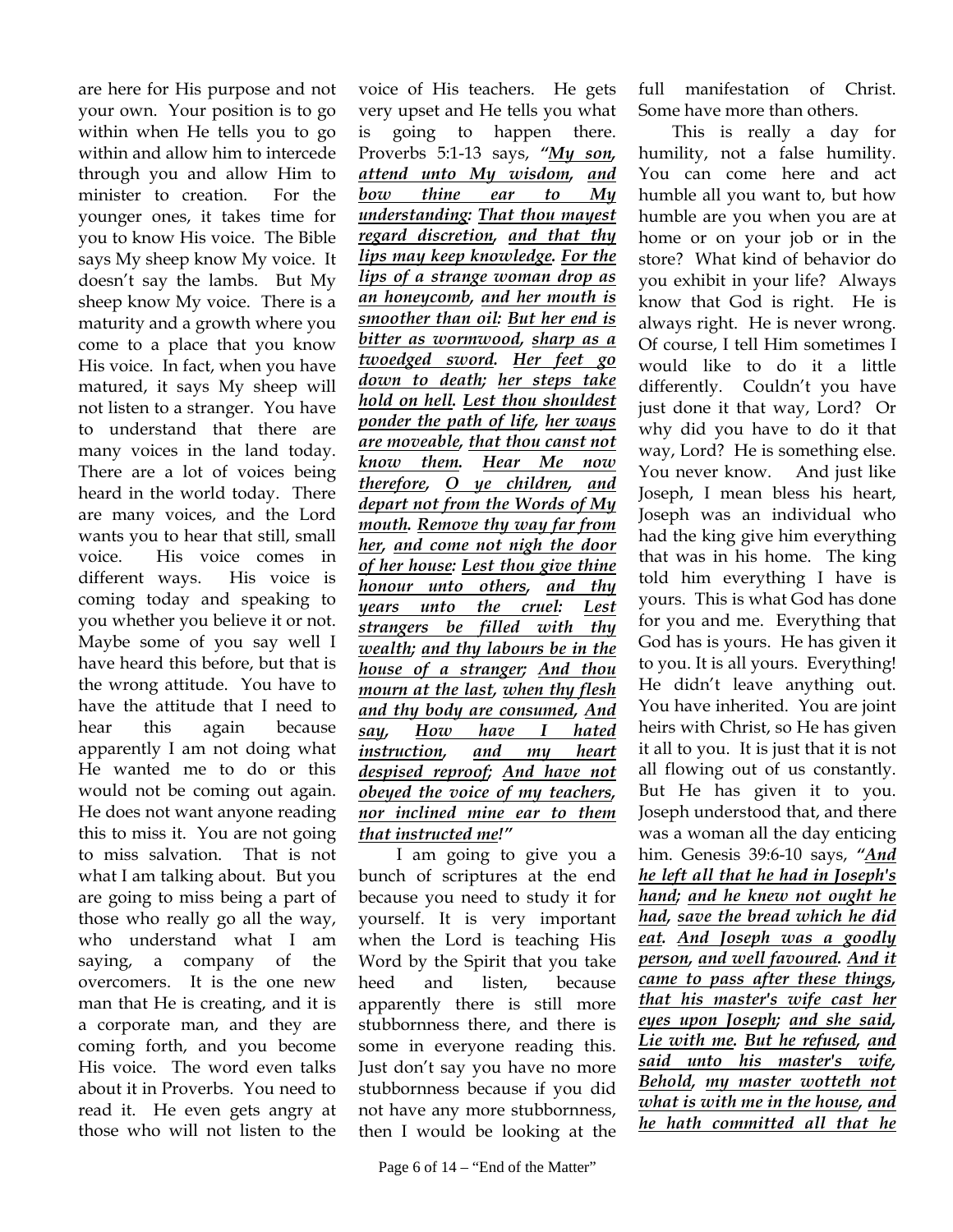are here for His purpose and not your own. Your position is to go within when He tells you to go within and allow him to intercede through you and allow Him to minister to creation. For the younger ones, it takes time for you to know His voice. The Bible says My sheep know My voice. It doesn't say the lambs. But My sheep know My voice. There is a maturity and a growth where you come to a place that you know His voice. In fact, when you have matured, it says My sheep will not listen to a stranger. You have to understand that there are many voices in the land today. There are a lot of voices being heard in the world today. There are many voices, and the Lord wants you to hear that still, small voice. His voice comes in different ways. His voice is coming today and speaking to you whether you believe it or not. Maybe some of you say well I have heard this before, but that is the wrong attitude. You have to have the attitude that I need to hear this again because apparently I am not doing what He wanted me to do or this would not be coming out again. He does not want anyone reading this to miss it. You are not going to miss salvation. That is not what I am talking about. But you are going to miss being a part of those who really go all the way, who understand what I am saying, a company of the overcomers. It is the one new man that He is creating, and it is a corporate man, and they are coming forth, and you become His voice. The word even talks about it in Proverbs. You need to read it. He even gets angry at those who will not listen to the

voice of His teachers. He gets very upset and He tells you what is going to happen there. Proverbs 5:1-13 says, *"My son, attend unto My wisdom, and bow thine ear to My understanding: That thou mayest regard discretion, and that thy lips may keep knowledge. For the lips of a strange woman drop as an honeycomb, and her mouth is smoother than oil: But her end is bitter as wormwood, sharp as a twoedged sword. Her feet go down to death; her steps take hold on hell. Lest thou shouldest ponder the path of life, her ways are moveable, that thou canst not know them. Hear Me now therefore, O ye children, and depart not from the Words of My mouth. Remove thy way far from her, and come not nigh the door of her house: Lest thou give thine honour unto others, and thy years unto the cruel: Lest strangers be filled with thy wealth; and thy labours be in the house of a stranger; And thou mourn at the last, when thy flesh and thy body are consumed, And say, How have I hated instruction, and my heart despised reproof; And have not obeyed the voice of my teachers, nor inclined mine ear to them that instructed me!"* I am going to give you a

bunch of scriptures at the end because you need to study it for yourself. It is very important when the Lord is teaching His Word by the Spirit that you take heed and listen, because apparently there is still more stubbornness there, and there is some in everyone reading this. Just don't say you have no more stubbornness because if you did not have any more stubbornness, then I would be looking at the full manifestation of Christ. Some have more than others.

This is really a day for humility, not a false humility. You can come here and act humble all you want to, but how humble are you when you are at home or on your job or in the store? What kind of behavior do you exhibit in your life? Always know that God is right. He is always right. He is never wrong. Of course, I tell Him sometimes I would like to do it a little differently. Couldn't you have just done it that way, Lord? Or why did you have to do it that way, Lord? He is something else. You never know. And just like Joseph, I mean bless his heart, Joseph was an individual who had the king give him everything that was in his home. The king told him everything I have is yours. This is what God has done for you and me. Everything that God has is yours. He has given it to you. It is all yours. Everything! He didn't leave anything out. You have inherited. You are joint heirs with Christ, so He has given it all to you. It is just that it is not all flowing out of us constantly. But He has given it to you. Joseph understood that, and there was a woman all the day enticing him. Genesis 39:6-10 says, *"And he left all that he had in Joseph's hand; and he knew not ought he had, save the bread which he did eat. And Joseph was a goodly person, and well favoured. And it came to pass after these things, that his master's wife cast her eyes upon Joseph; and she said, Lie with me. But he refused, and said unto his master's wife, Behold, my master wotteth not what is with me in the house, and he hath committed all that he*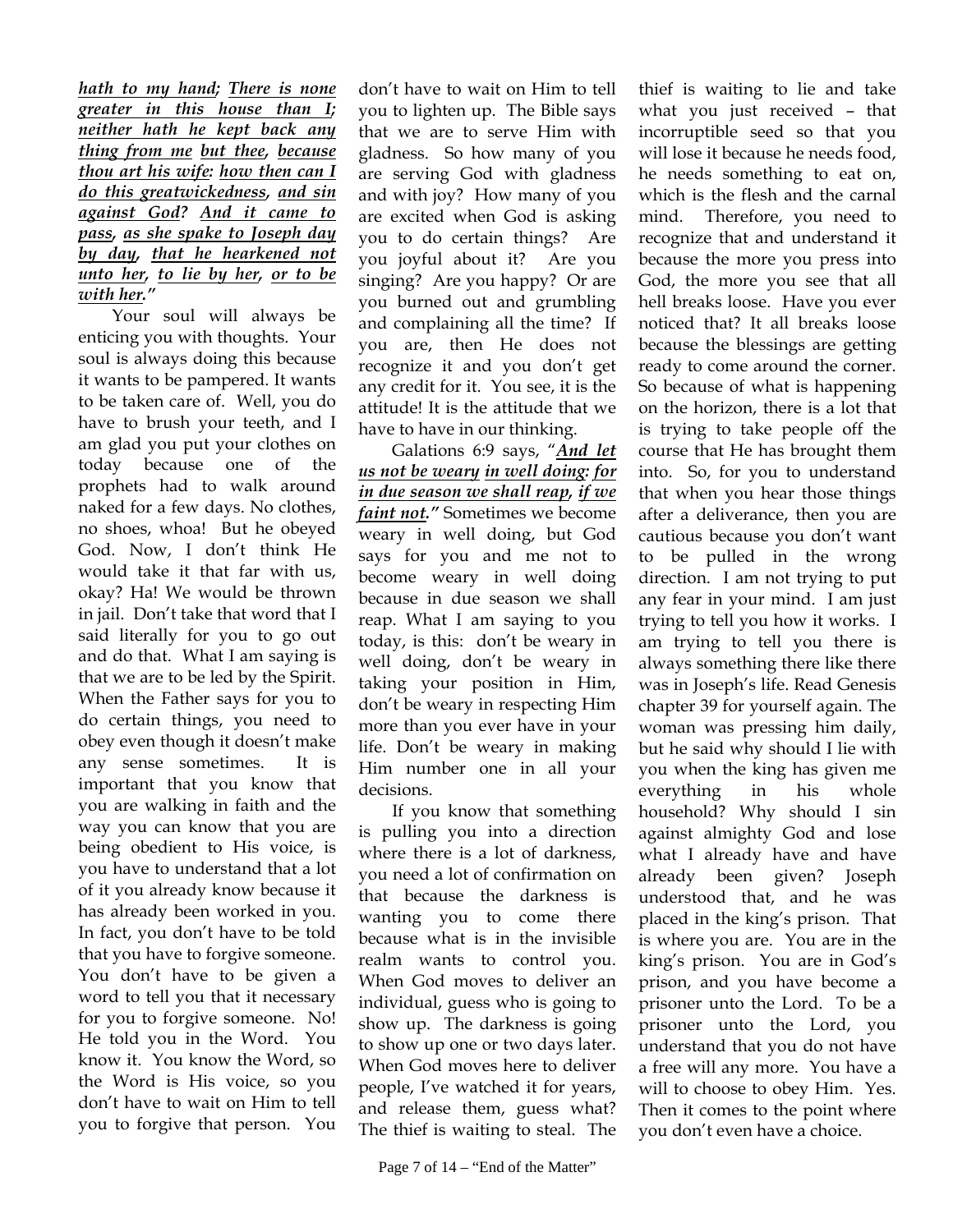*hath to my hand; There is none greater in this house than I; neither hath he kept back any thing from me but thee, because thou art his wife: how then can I do this greatwickedness, and sin against God? And it came to pass, as she spake to Joseph day by day, that he hearkened not unto her, to lie by her, or to be with her."*

Your soul will always be enticing you with thoughts. Your soul is always doing this because it wants to be pampered. It wants to be taken care of. Well, you do have to brush your teeth, and I am glad you put your clothes on today because one of the prophets had to walk around naked for a few days. No clothes, no shoes, whoa! But he obeyed God. Now, I don't think He would take it that far with us, okay? Ha! We would be thrown in jail. Don't take that word that I said literally for you to go out and do that. What I am saying is that we are to be led by the Spirit. When the Father says for you to do certain things, you need to obey even though it doesn't make any sense sometimes. It is important that you know that you are walking in faith and the way you can know that you are being obedient to His voice, is you have to understand that a lot of it you already know because it has already been worked in you. In fact, you don't have to be told that you have to forgive someone. You don't have to be given a word to tell you that it necessary for you to forgive someone. No! He told you in the Word. You know it. You know the Word, so the Word is His voice, so you don't have to wait on Him to tell you to forgive that person. You

don't have to wait on Him to tell you to lighten up. The Bible says that we are to serve Him with gladness. So how many of you are serving God with gladness and with joy? How many of you are excited when God is asking you to do certain things? Are you joyful about it? Are you singing? Are you happy? Or are you burned out and grumbling and complaining all the time? If you are, then He does not recognize it and you don't get any credit for it. You see, it is the attitude! It is the attitude that we have to have in our thinking.

Galations 6:9 says, "*And let us not be weary in well doing: for in due season we shall reap, if we faint not."* Sometimes we become weary in well doing, but God says for you and me not to become weary in well doing because in due season we shall reap. What I am saying to you today, is this: don't be weary in well doing, don't be weary in taking your position in Him, don't be weary in respecting Him more than you ever have in your life. Don't be weary in making Him number one in all your decisions.

If you know that something is pulling you into a direction where there is a lot of darkness, you need a lot of confirmation on that because the darkness is wanting you to come there because what is in the invisible realm wants to control you. When God moves to deliver an individual, guess who is going to show up. The darkness is going to show up one or two days later. When God moves here to deliver people, I've watched it for years, and release them, guess what? The thief is waiting to steal. The

thief is waiting to lie and take what you just received – that incorruptible seed so that you will lose it because he needs food, he needs something to eat on, which is the flesh and the carnal mind. Therefore, you need to recognize that and understand it because the more you press into God, the more you see that all hell breaks loose. Have you ever noticed that? It all breaks loose because the blessings are getting ready to come around the corner. So because of what is happening on the horizon, there is a lot that is trying to take people off the course that He has brought them into. So, for you to understand that when you hear those things after a deliverance, then you are cautious because you don't want to be pulled in the wrong direction. I am not trying to put any fear in your mind. I am just trying to tell you how it works. I am trying to tell you there is always something there like there was in Joseph's life. Read Genesis chapter 39 for yourself again. The woman was pressing him daily, but he said why should I lie with you when the king has given me everything in his whole household? Why should I sin against almighty God and lose what I already have and have already been given? Joseph understood that, and he was placed in the king's prison. That is where you are. You are in the king's prison. You are in God's prison, and you have become a prisoner unto the Lord. To be a prisoner unto the Lord, you understand that you do not have a free will any more. You have a will to choose to obey Him. Yes. Then it comes to the point where you don't even have a choice.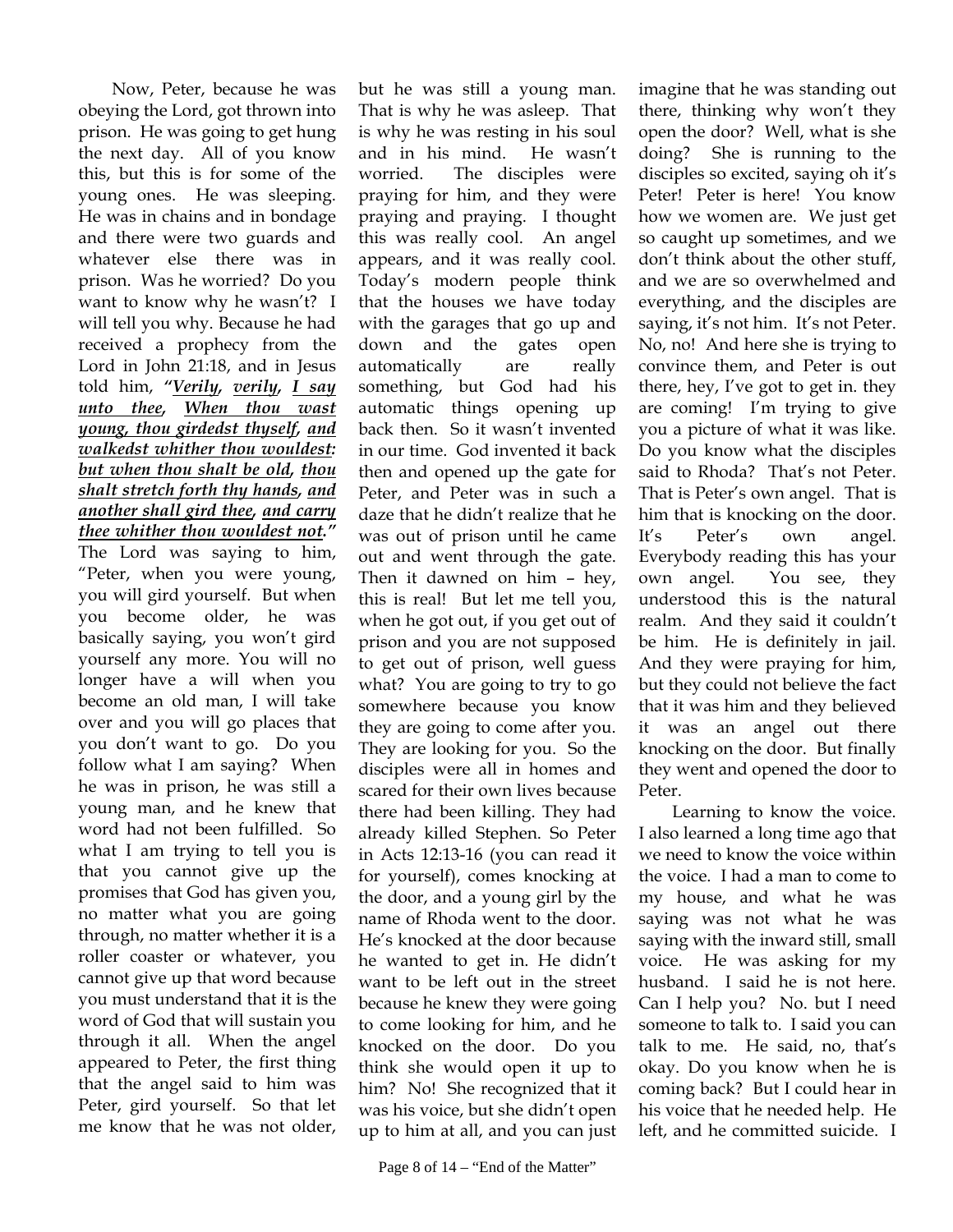Now, Peter, because he was obeying the Lord, got thrown into prison. He was going to get hung the next day. All of you know this, but this is for some of the young ones. He was sleeping. He was in chains and in bondage and there were two guards and whatever else there was in prison. Was he worried? Do you want to know why he wasn't? I will tell you why. Because he had received a prophecy from the Lord in John 21:18, and in Jesus told him, *"Verily, verily, I say unto thee, When thou wast young, thou girdedst thyself, and walkedst whither thou wouldest: but when thou shalt be old, thou shalt stretch forth thy hands, and another shall gird thee, and carry thee whither thou wouldest not."* The Lord was saying to him, "Peter, when you were young, you will gird yourself. But when you become older, he was basically saying, you won't gird yourself any more. You will no longer have a will when you become an old man, I will take over and you will go places that you don't want to go. Do you follow what I am saying? When he was in prison, he was still a young man, and he knew that word had not been fulfilled. So what I am trying to tell you is that you cannot give up the promises that God has given you, no matter what you are going through, no matter whether it is a roller coaster or whatever, you cannot give up that word because you must understand that it is the word of God that will sustain you through it all. When the angel appeared to Peter, the first thing that the angel said to him was Peter, gird yourself. So that let me know that he was not older,

but he was still a young man. That is why he was asleep. That is why he was resting in his soul and in his mind. He wasn't worried. The disciples were praying for him, and they were praying and praying. I thought this was really cool. An angel appears, and it was really cool. Today's modern people think that the houses we have today with the garages that go up and down and the gates open automatically are really something, but God had his automatic things opening up back then. So it wasn't invented in our time. God invented it back then and opened up the gate for Peter, and Peter was in such a daze that he didn't realize that he was out of prison until he came out and went through the gate. Then it dawned on him – hey, this is real! But let me tell you, when he got out, if you get out of prison and you are not supposed to get out of prison, well guess what? You are going to try to go somewhere because you know they are going to come after you. They are looking for you. So the disciples were all in homes and scared for their own lives because there had been killing. They had already killed Stephen. So Peter in Acts 12:13-16 (you can read it for yourself), comes knocking at the door, and a young girl by the name of Rhoda went to the door. He's knocked at the door because he wanted to get in. He didn't want to be left out in the street because he knew they were going to come looking for him, and he knocked on the door. Do you think she would open it up to him? No! She recognized that it was his voice, but she didn't open up to him at all, and you can just imagine that he was standing out there, thinking why won't they open the door? Well, what is she doing? She is running to the disciples so excited, saying oh it's Peter! Peter is here! You know how we women are. We just get so caught up sometimes, and we don't think about the other stuff, and we are so overwhelmed and everything, and the disciples are saying, it's not him. It's not Peter. No, no! And here she is trying to convince them, and Peter is out there, hey, I've got to get in. they are coming! I'm trying to give you a picture of what it was like. Do you know what the disciples said to Rhoda? That's not Peter. That is Peter's own angel. That is him that is knocking on the door. It's Peter's own angel. Everybody reading this has your own angel. You see, they understood this is the natural realm. And they said it couldn't be him. He is definitely in jail. And they were praying for him, but they could not believe the fact that it was him and they believed it was an angel out there knocking on the door. But finally they went and opened the door to Peter.

Learning to know the voice. I also learned a long time ago that we need to know the voice within the voice. I had a man to come to my house, and what he was saying was not what he was saying with the inward still, small voice. He was asking for my husband. I said he is not here. Can I help you? No. but I need someone to talk to. I said you can talk to me. He said, no, that's okay. Do you know when he is coming back? But I could hear in his voice that he needed help. He left, and he committed suicide. I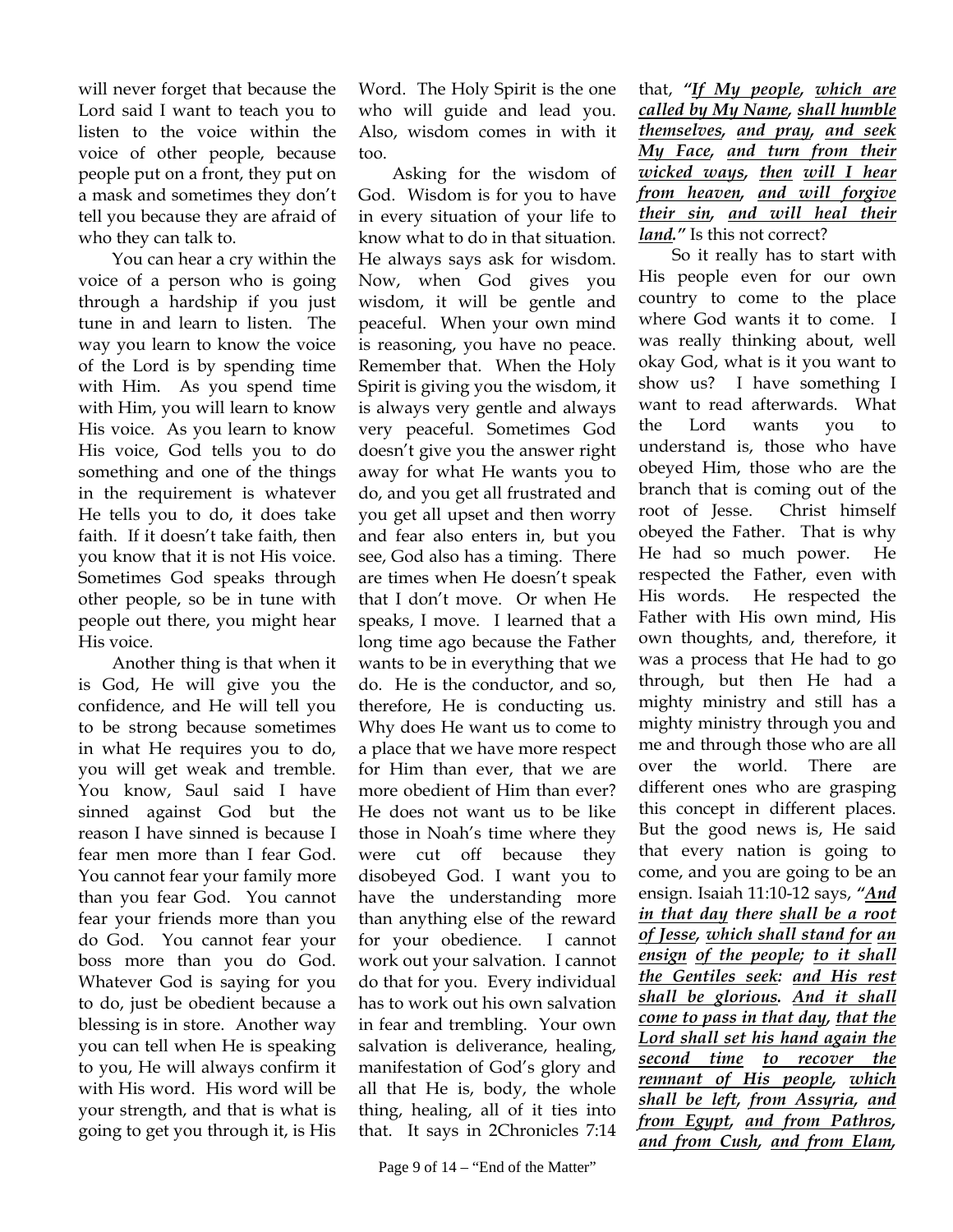will never forget that because the Lord said I want to teach you to listen to the voice within the voice of other people, because people put on a front, they put on a mask and sometimes they don't tell you because they are afraid of who they can talk to.

You can hear a cry within the voice of a person who is going through a hardship if you just tune in and learn to listen. The way you learn to know the voice of the Lord is by spending time with Him. As you spend time with Him, you will learn to know His voice. As you learn to know His voice, God tells you to do something and one of the things in the requirement is whatever He tells you to do, it does take faith. If it doesn't take faith, then you know that it is not His voice. Sometimes God speaks through other people, so be in tune with people out there, you might hear His voice.

Another thing is that when it is God, He will give you the confidence, and He will tell you to be strong because sometimes in what He requires you to do, you will get weak and tremble. You know, Saul said I have sinned against God but the reason I have sinned is because I fear men more than I fear God. You cannot fear your family more than you fear God. You cannot fear your friends more than you do God. You cannot fear your boss more than you do God. Whatever God is saying for you to do, just be obedient because a blessing is in store. Another way you can tell when He is speaking to you, He will always confirm it with His word. His word will be your strength, and that is what is going to get you through it, is His

Word. The Holy Spirit is the one who will guide and lead you. Also, wisdom comes in with it too.

Asking for the wisdom of God. Wisdom is for you to have in every situation of your life to know what to do in that situation. He always says ask for wisdom. Now, when God gives you wisdom, it will be gentle and peaceful. When your own mind is reasoning, you have no peace. Remember that. When the Holy Spirit is giving you the wisdom, it is always very gentle and always very peaceful. Sometimes God doesn't give you the answer right away for what He wants you to do, and you get all frustrated and you get all upset and then worry and fear also enters in, but you see, God also has a timing. There are times when He doesn't speak that I don't move. Or when He speaks, I move. I learned that a long time ago because the Father wants to be in everything that we do. He is the conductor, and so, therefore, He is conducting us. Why does He want us to come to a place that we have more respect for Him than ever, that we are more obedient of Him than ever? He does not want us to be like those in Noah's time where they were cut off because they disobeyed God. I want you to have the understanding more than anything else of the reward for your obedience. I cannot work out your salvation. I cannot do that for you. Every individual has to work out his own salvation in fear and trembling. Your own salvation is deliverance, healing, manifestation of God's glory and all that He is, body, the whole thing, healing, all of it ties into that. It says in 2Chronicles 7:14

that, *"If My people, which are called by My Name, shall humble themselves, and pray, and seek My Face, and turn from their wicked ways, then will I hear from heaven, and will forgive their sin, and will heal their land."* Is this not correct?

So it really has to start with His people even for our own country to come to the place where God wants it to come. I was really thinking about, well okay God, what is it you want to show us? I have something I want to read afterwards. What the Lord wants you to understand is, those who have obeyed Him, those who are the branch that is coming out of the root of Jesse. Christ himself obeyed the Father. That is why He had so much power. He respected the Father, even with His words. He respected the Father with His own mind, His own thoughts, and, therefore, it was a process that He had to go through, but then He had a mighty ministry and still has a mighty ministry through you and me and through those who are all over the world. There are different ones who are grasping this concept in different places. But the good news is, He said that every nation is going to come, and you are going to be an ensign. Isaiah 11:10-12 says, *"And in that day there shall be a root of Jesse, which shall stand for an ensign of the people; to it shall the Gentiles seek: and His rest shall be glorious. And it shall come to pass in that day, that the Lord shall set his hand again the second time to recover the remnant of His people, which shall be left, from Assyria, and from Egypt, and from Pathros, and from Cush, and from Elam,*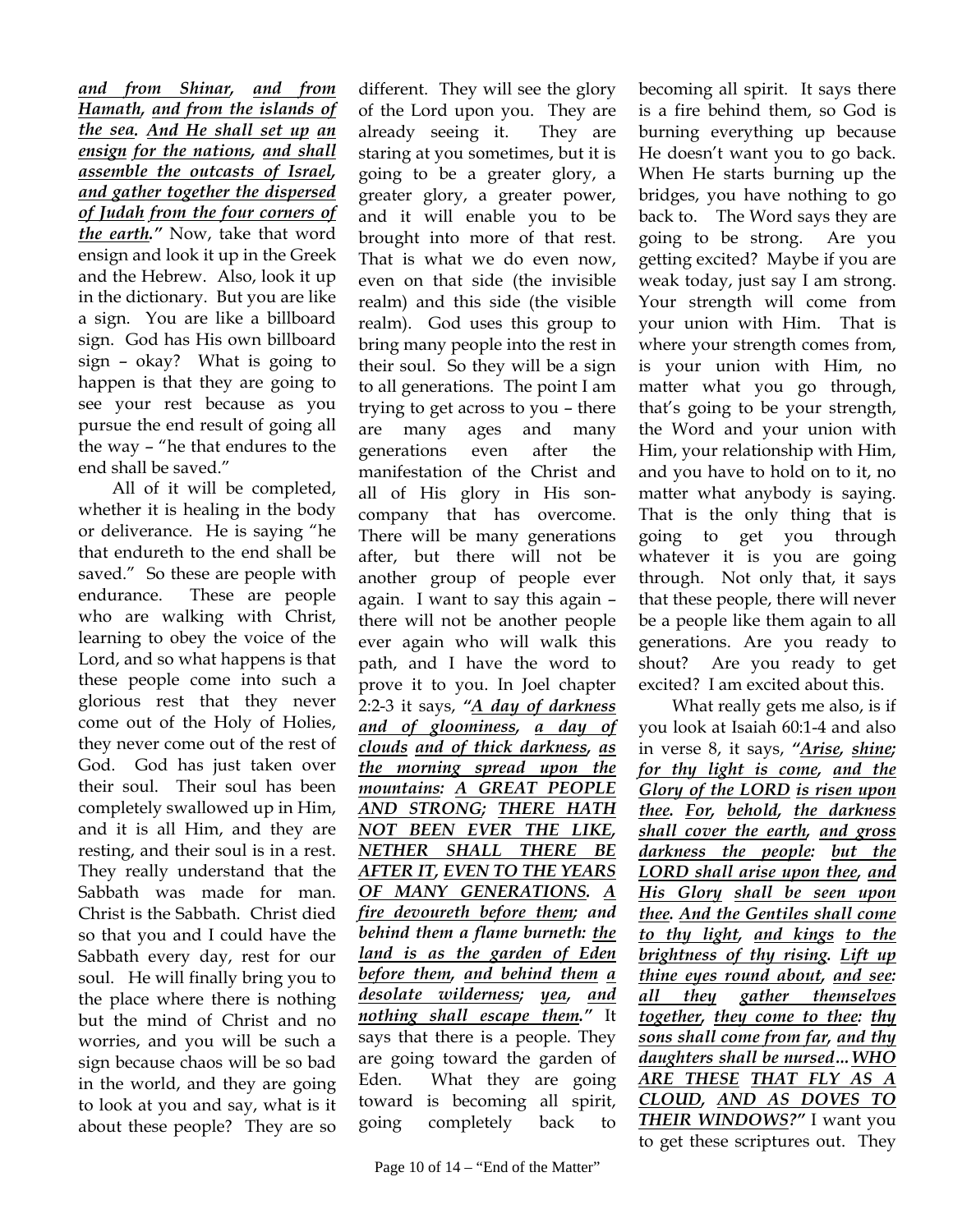*and from Shinar, and from Hamath, and from the islands of the sea. And He shall set up an ensign for the nations, and shall assemble the outcasts of Israel, and gather together the dispersed of Judah from the four corners of the earth."* Now, take that word ensign and look it up in the Greek and the Hebrew. Also, look it up in the dictionary. But you are like a sign. You are like a billboard sign. God has His own billboard sign – okay? What is going to happen is that they are going to see your rest because as you pursue the end result of going all the way – "he that endures to the end shall be saved."

All of it will be completed, whether it is healing in the body or deliverance. He is saying "he that endureth to the end shall be saved." So these are people with endurance. These are people who are walking with Christ, learning to obey the voice of the Lord, and so what happens is that these people come into such a glorious rest that they never come out of the Holy of Holies, they never come out of the rest of God. God has just taken over their soul. Their soul has been completely swallowed up in Him, and it is all Him, and they are resting, and their soul is in a rest. They really understand that the Sabbath was made for man. Christ is the Sabbath. Christ died so that you and I could have the Sabbath every day, rest for our soul. He will finally bring you to the place where there is nothing but the mind of Christ and no worries, and you will be such a sign because chaos will be so bad in the world, and they are going to look at you and say, what is it about these people? They are so

toward is becoming all spirit, going completely back to

different. They will see the glory of the Lord upon you. They are already seeing it. They are staring at you sometimes, but it is going to be a greater glory, a greater glory, a greater power, and it will enable you to be brought into more of that rest. That is what we do even now, even on that side (the invisible realm) and this side (the visible realm). God uses this group to bring many people into the rest in their soul. So they will be a sign to all generations. The point I am trying to get across to you – there are many ages and many generations even after the manifestation of the Christ and all of His glory in His soncompany that has overcome. There will be many generations after, but there will not be another group of people ever again. I want to say this again – there will not be another people ever again who will walk this path, and I have the word to prove it to you. In Joel chapter 2:2-3 it says, *"A day of darkness and of gloominess, a day of clouds and of thick darkness, as the morning spread upon the mountains: A GREAT PEOPLE AND STRONG; THERE HATH NOT BEEN EVER THE LIKE, NETHER SHALL THERE BE AFTER IT, EVEN TO THE YEARS OF MANY GENERATIONS. A fire devoureth before them; and behind them a flame burneth: the land is as the garden of Eden before them, and behind them a desolate wilderness; yea, and nothing shall escape them."* It says that there is a people. They are going toward the garden of Eden. What they are going

becoming all spirit. It says there is a fire behind them, so God is burning everything up because He doesn't want you to go back. When He starts burning up the bridges, you have nothing to go back to. The Word says they are going to be strong. Are you getting excited? Maybe if you are weak today, just say I am strong. Your strength will come from your union with Him. That is where your strength comes from, is your union with Him, no matter what you go through, that's going to be your strength, the Word and your union with Him, your relationship with Him, and you have to hold on to it, no matter what anybody is saying. That is the only thing that is going to get you through whatever it is you are going through. Not only that, it says that these people, there will never be a people like them again to all generations. Are you ready to shout? Are you ready to get excited? I am excited about this.

What really gets me also, is if you look at Isaiah 60:1-4 and also in verse 8, it says, *"Arise, shine; for thy light is come, and the Glory of the LORD is risen upon thee. For, behold, the darkness shall cover the earth, and gross darkness the people: but the LORD shall arise upon thee, and His Glory shall be seen upon thee. And the Gentiles shall come to thy light, and kings to the brightness of thy rising. Lift up thine eyes round about, and see: all they gather themselves together, they come to thee: thy sons shall come from far, and thy daughters shall be nursed…WHO ARE THESE THAT FLY AS A CLOUD, AND AS DOVES TO THEIR WINDOWS?"* I want you to get these scriptures out. They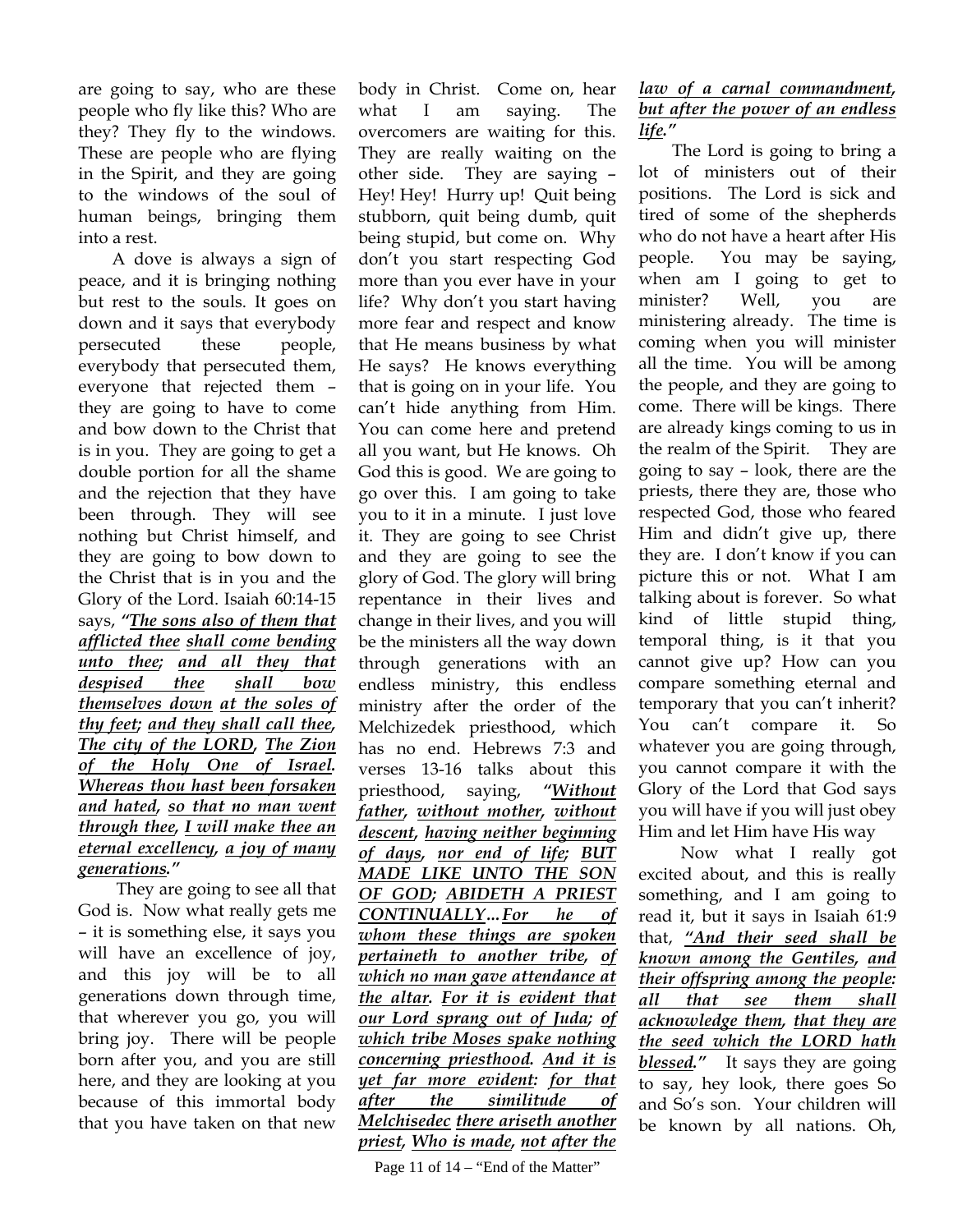are going to say, who are these people who fly like this? Who are they? They fly to the windows. These are people who are flying in the Spirit, and they are going to the windows of the soul of human beings, bringing them into a rest.

A dove is always a sign of peace, and it is bringing nothing but rest to the souls. It goes on down and it says that everybody persecuted these people, everybody that persecuted them, everyone that rejected them – they are going to have to come and bow down to the Christ that is in you. They are going to get a double portion for all the shame and the rejection that they have been through. They will see nothing but Christ himself, and they are going to bow down to the Christ that is in you and the Glory of the Lord. Isaiah 60:14-15 says, *"The sons also of them that afflicted thee shall come bending unto thee; and all they that despised thee shall bow themselves down at the soles of thy feet; and they shall call thee, The city of the LORD, The Zion of the Holy One of Israel. Whereas thou hast been forsaken and hated, so that no man went through thee, I will make thee an eternal excellency, a joy of many generations."*

 They are going to see all that God is. Now what really gets me – it is something else, it says you will have an excellence of joy, and this joy will be to all generations down through time, that wherever you go, you will bring joy. There will be people born after you, and you are still here, and they are looking at you because of this immortal body that you have taken on that new

body in Christ. Come on, hear what I am saying. The overcomers are waiting for this. They are really waiting on the other side. They are saying – Hey! Hey! Hurry up! Quit being stubborn, quit being dumb, quit being stupid, but come on. Why don't you start respecting God more than you ever have in your life? Why don't you start having more fear and respect and know that He means business by what He says? He knows everything that is going on in your life. You can't hide anything from Him. You can come here and pretend all you want, but He knows. Oh God this is good. We are going to go over this. I am going to take you to it in a minute. I just love it. They are going to see Christ and they are going to see the glory of God. The glory will bring repentance in their lives and change in their lives, and you will be the ministers all the way down through generations with an endless ministry, this endless ministry after the order of the Melchizedek priesthood, which has no end. Hebrews 7:3 and verses 13-16 talks about this priesthood, saying, *"Without father, without mother, without descent, having neither beginning of days, nor end of life; BUT MADE LIKE UNTO THE SON OF GOD; ABIDETH A PRIEST CONTINUALLY…For he of whom these things are spoken pertaineth to another tribe, of which no man gave attendance at the altar. For it is evident that our Lord sprang out of Juda; of which tribe Moses spake nothing concerning priesthood. And it is yet far more evident: for that after the similitude of Melchisedec there ariseth another priest, Who is made, not after the* 

Page 11 of 14 – "End of the Matter"

## *law of a carnal commandment, but after the power of an endless life."*

The Lord is going to bring a lot of ministers out of their positions. The Lord is sick and tired of some of the shepherds who do not have a heart after His people. You may be saying, when am I going to get to minister? Well, you are ministering already. The time is coming when you will minister all the time. You will be among the people, and they are going to come. There will be kings. There are already kings coming to us in the realm of the Spirit. They are going to say – look, there are the priests, there they are, those who respected God, those who feared Him and didn't give up, there they are. I don't know if you can picture this or not. What I am talking about is forever. So what kind of little stupid thing, temporal thing, is it that you cannot give up? How can you compare something eternal and temporary that you can't inherit? You can't compare it. So whatever you are going through, you cannot compare it with the Glory of the Lord that God says you will have if you will just obey Him and let Him have His way

 Now what I really got excited about, and this is really something, and I am going to read it, but it says in Isaiah 61:9 that, *"And their seed shall be known among the Gentiles, and their offspring among the people: all that see them shall acknowledge them, that they are the seed which the LORD hath blessed."* It says they are going to say, hey look, there goes So and So's son. Your children will be known by all nations. Oh,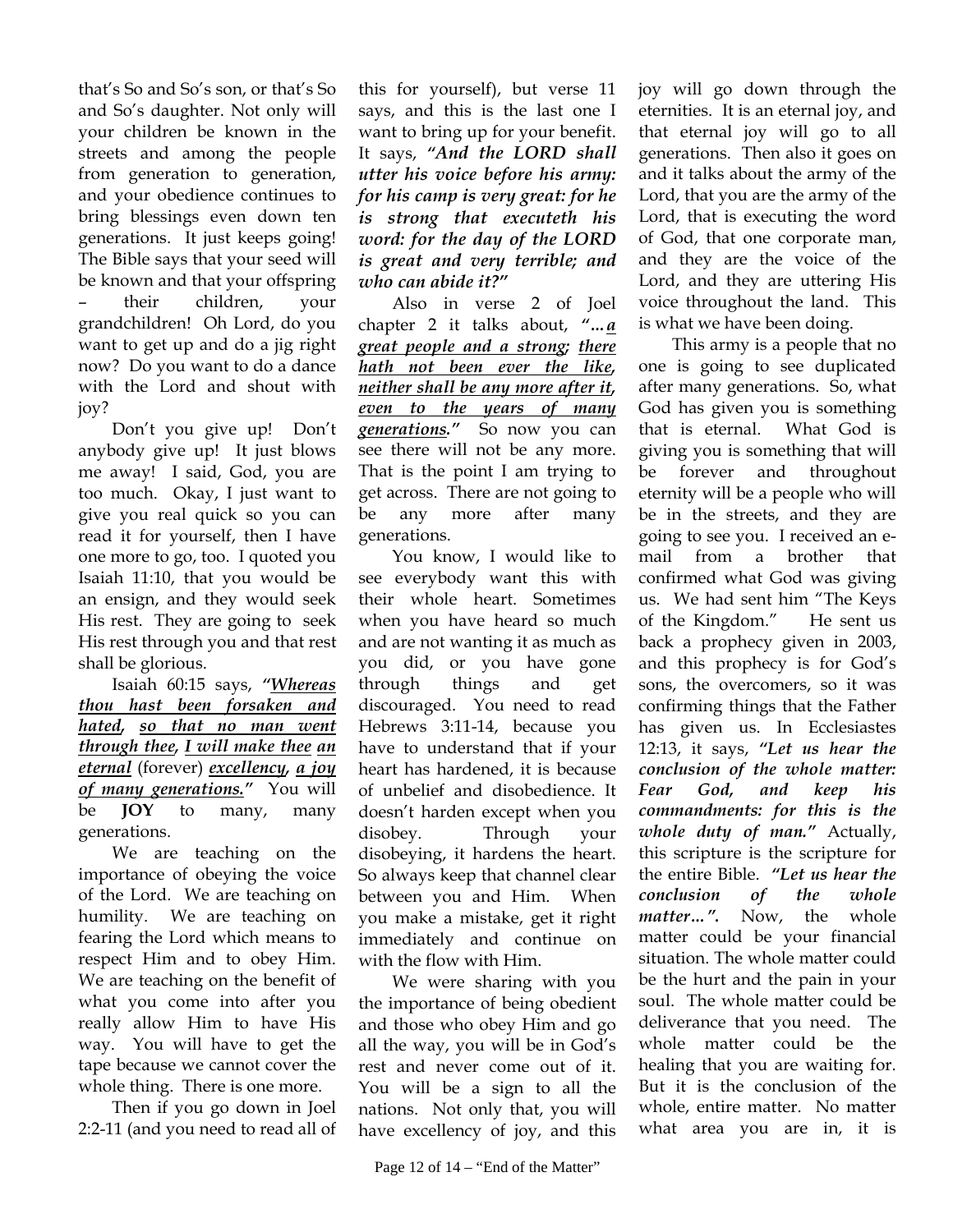that's So and So's son, or that's So and So's daughter. Not only will your children be known in the streets and among the people from generation to generation, and your obedience continues to bring blessings even down ten generations. It just keeps going! The Bible says that your seed will be known and that your offspring – their children, your grandchildren! Oh Lord, do you want to get up and do a jig right now? Do you want to do a dance with the Lord and shout with joy?

Don't you give up! Don't anybody give up! It just blows me away! I said, God, you are too much. Okay, I just want to give you real quick so you can read it for yourself, then I have one more to go, too. I quoted you Isaiah 11:10, that you would be an ensign, and they would seek His rest. They are going to seek His rest through you and that rest shall be glorious.

Isaiah 60:15 says, *"Whereas thou hast been forsaken and hated, so that no man went through thee, I will make thee an eternal* (forever) *excellency, a joy of many generations."* You will be **JOY** to many, many generations.

We are teaching on the importance of obeying the voice of the Lord. We are teaching on humility. We are teaching on fearing the Lord which means to respect Him and to obey Him. We are teaching on the benefit of what you come into after you really allow Him to have His way. You will have to get the tape because we cannot cover the whole thing. There is one more.

Then if you go down in Joel 2:2-11 (and you need to read all of

this for yourself), but verse 11 says, and this is the last one I want to bring up for your benefit. It says, *"And the LORD shall utter his voice before his army: for his camp is very great: for he is strong that executeth his word: for the day of the LORD is great and very terrible; and who can abide it?"*

Also in verse 2 of Joel chapter 2 it talks about, *"…a great people and a strong; there hath not been ever the like, neither shall be any more after it, even to the years of many generations."* So now you can see there will not be any more. That is the point I am trying to get across. There are not going to be any more after many generations.

You know, I would like to see everybody want this with their whole heart. Sometimes when you have heard so much and are not wanting it as much as you did, or you have gone through things and get discouraged. You need to read Hebrews 3:11-14, because you have to understand that if your heart has hardened, it is because of unbelief and disobedience. It doesn't harden except when you disobey. Through your disobeying, it hardens the heart. So always keep that channel clear between you and Him. When you make a mistake, get it right immediately and continue on with the flow with Him.

We were sharing with you the importance of being obedient and those who obey Him and go all the way, you will be in God's rest and never come out of it. You will be a sign to all the nations. Not only that, you will have excellency of joy, and this

joy will go down through the eternities. It is an eternal joy, and that eternal joy will go to all generations. Then also it goes on and it talks about the army of the Lord, that you are the army of the Lord, that is executing the word of God, that one corporate man, and they are the voice of the Lord, and they are uttering His voice throughout the land. This is what we have been doing.

This army is a people that no one is going to see duplicated after many generations. So, what God has given you is something that is eternal. What God is giving you is something that will be forever and throughout eternity will be a people who will be in the streets, and they are going to see you. I received an email from a brother that confirmed what God was giving us. We had sent him "The Keys of the Kingdom." He sent us back a prophecy given in 2003, and this prophecy is for God's sons, the overcomers, so it was confirming things that the Father has given us. In Ecclesiastes 12:13, it says, *"Let us hear the conclusion of the whole matter: Fear God, and keep his commandments: for this is the whole duty of man."* Actually, this scripture is the scripture for the entire Bible. *"Let us hear the conclusion of the whole matter…".* Now, the whole matter could be your financial situation. The whole matter could be the hurt and the pain in your soul. The whole matter could be deliverance that you need. The whole matter could be the healing that you are waiting for. But it is the conclusion of the whole, entire matter. No matter what area you are in, it is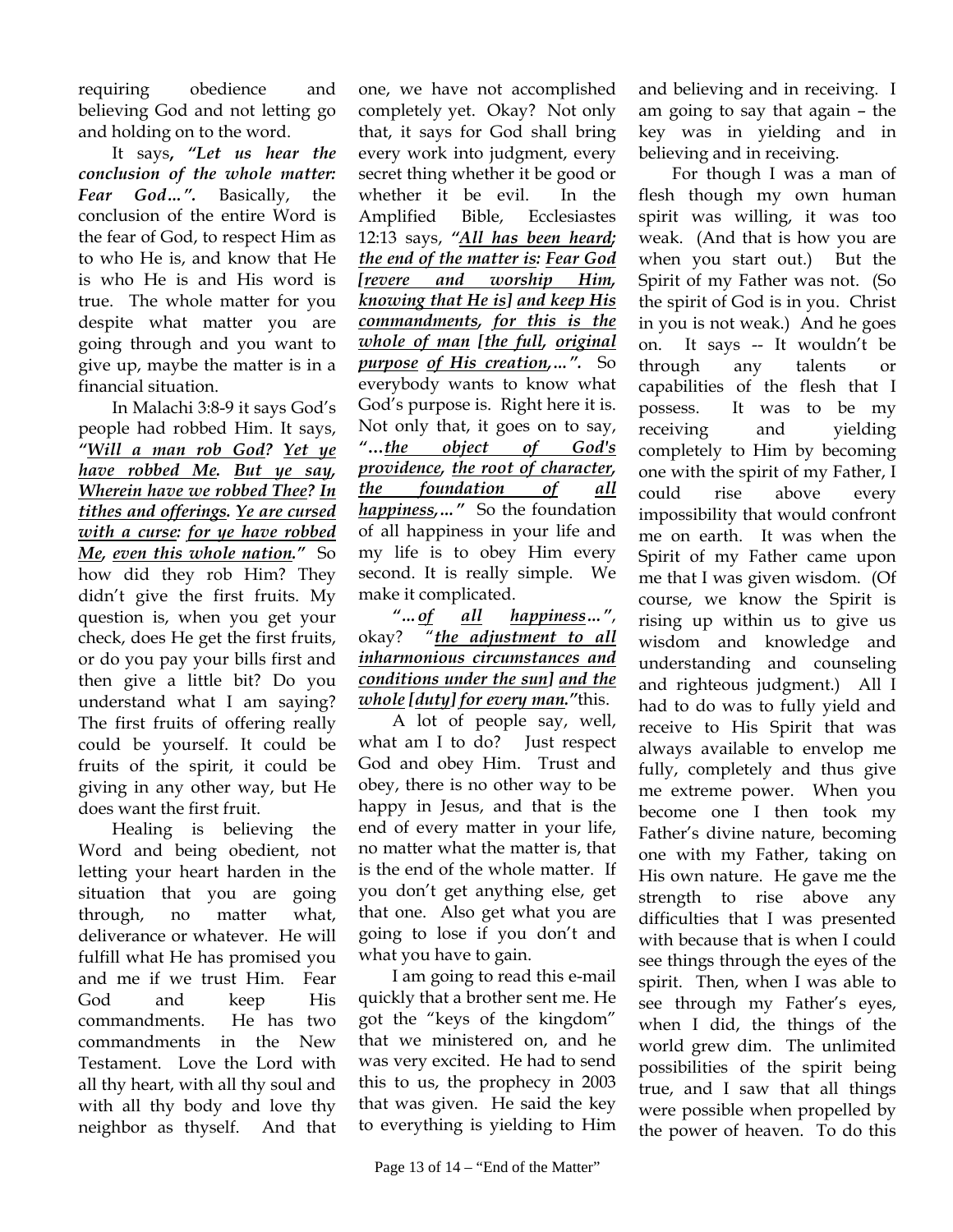requiring obedience and believing God and not letting go and holding on to the word.

It says**,** *"Let us hear the conclusion of the whole matter: Fear God…".* Basically, the conclusion of the entire Word is the fear of God, to respect Him as to who He is, and know that He is who He is and His word is true. The whole matter for you despite what matter you are going through and you want to give up, maybe the matter is in a financial situation.

In Malachi 3:8-9 it says God's people had robbed Him. It says, *"Will a man rob God? Yet ye have robbed Me. But ye say, Wherein have we robbed Thee? In tithes and offerings. Ye are cursed with a curse: for ye have robbed Me, even this whole nation."* So how did they rob Him? They didn't give the first fruits. My question is, when you get your check, does He get the first fruits, or do you pay your bills first and then give a little bit? Do you understand what I am saying? The first fruits of offering really could be yourself. It could be fruits of the spirit, it could be giving in any other way, but He does want the first fruit.

Healing is believing the Word and being obedient, not letting your heart harden in the situation that you are going through, no matter what, deliverance or whatever. He will fulfill what He has promised you and me if we trust Him. Fear God and keep His commandments. He has two commandments in the New Testament. Love the Lord with all thy heart, with all thy soul and with all thy body and love thy neighbor as thyself. And that

one, we have not accomplished completely yet. Okay? Not only that, it says for God shall bring every work into judgment, every secret thing whether it be good or whether it be evil. In the Amplified Bible, Ecclesiastes 12:13 says, *"All has been heard; the end of the matter is: Fear God [revere and worship Him, knowing that He is] and keep His commandments, for this is the whole of man [the full, original purpose of His creation,…".* So everybody wants to know what God's purpose is. Right here it is. Not only that, it goes on to say, *"***…***the object of God's providence, the root of character, the foundation of all happiness,…"* So the foundation of all happiness in your life and my life is to obey Him every second. It is really simple. We make it complicated.

## *"…of all happiness…"*, okay? "*the adjustment to all inharmonious circumstances and conditions under the sun] and the whole [duty] for every man."*this.

A lot of people say, well, what am I to do? Just respect God and obey Him. Trust and obey, there is no other way to be happy in Jesus, and that is the end of every matter in your life, no matter what the matter is, that is the end of the whole matter. If you don't get anything else, get that one. Also get what you are going to lose if you don't and what you have to gain.

I am going to read this e-mail quickly that a brother sent me. He got the "keys of the kingdom" that we ministered on, and he was very excited. He had to send this to us, the prophecy in 2003 that was given. He said the key to everything is yielding to Him and believing and in receiving. I am going to say that again – the key was in yielding and in believing and in receiving.

For though I was a man of flesh though my own human spirit was willing, it was too weak. (And that is how you are when you start out.) But the Spirit of my Father was not. (So the spirit of God is in you. Christ in you is not weak.) And he goes on. It says -- It wouldn't be through any talents or capabilities of the flesh that I possess. It was to be my receiving and yielding completely to Him by becoming one with the spirit of my Father, I could rise above every impossibility that would confront me on earth. It was when the Spirit of my Father came upon me that I was given wisdom. (Of course, we know the Spirit is rising up within us to give us wisdom and knowledge and understanding and counseling and righteous judgment.) All I had to do was to fully yield and receive to His Spirit that was always available to envelop me fully, completely and thus give me extreme power. When you become one I then took my Father's divine nature, becoming one with my Father, taking on His own nature. He gave me the strength to rise above any difficulties that I was presented with because that is when I could see things through the eyes of the spirit. Then, when I was able to see through my Father's eyes, when I did, the things of the world grew dim. The unlimited possibilities of the spirit being true, and I saw that all things were possible when propelled by the power of heaven. To do this